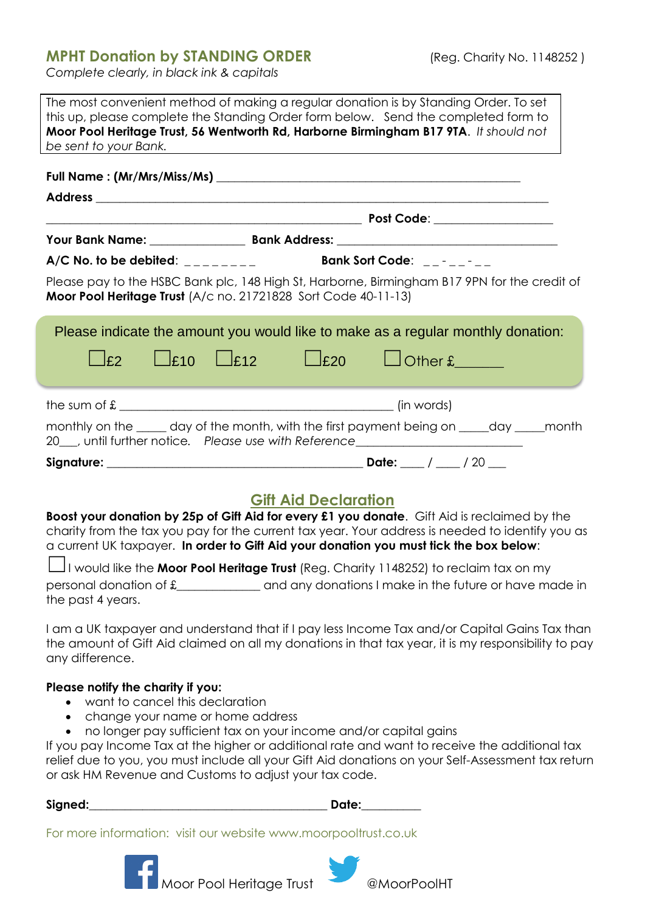## **MPHT Donation by STANDING ORDER** (Reg. Charity No. 1148252)

*Complete clearly, in black ink & capitals*

| The most convenient method of making a regular donation is by Standing Order. To set<br>this up, please complete the Standing Order form below. Send the completed form to<br>Moor Pool Heritage Trust, 56 Wentworth Rd, Harborne Birmingham B17 9TA. It should not<br>be sent to your Bank.                                                                                                                                                                 |                                                                                                                                                                                                                                |
|--------------------------------------------------------------------------------------------------------------------------------------------------------------------------------------------------------------------------------------------------------------------------------------------------------------------------------------------------------------------------------------------------------------------------------------------------------------|--------------------------------------------------------------------------------------------------------------------------------------------------------------------------------------------------------------------------------|
|                                                                                                                                                                                                                                                                                                                                                                                                                                                              |                                                                                                                                                                                                                                |
|                                                                                                                                                                                                                                                                                                                                                                                                                                                              |                                                                                                                                                                                                                                |
|                                                                                                                                                                                                                                                                                                                                                                                                                                                              |                                                                                                                                                                                                                                |
|                                                                                                                                                                                                                                                                                                                                                                                                                                                              |                                                                                                                                                                                                                                |
| $A/C$ No. to be debited: ________ Bank Sort Code: ______<br>Please pay to the HSBC Bank plc, 148 High St, Harborne, Birmingham B17 9PN for the credit of<br>Moor Pool Heritage Trust (A/c no. 21721828 Sort Code 40-11-13)                                                                                                                                                                                                                                   |                                                                                                                                                                                                                                |
| $\Box$ £10<br>$L_{E12}$<br> f2                                                                                                                                                                                                                                                                                                                                                                                                                               | Please indicate the amount you would like to make as a regular monthly donation:<br>$L$ £20                                                                                                                                    |
| the sum of $\texttt{\&}$ [in words]                                                                                                                                                                                                                                                                                                                                                                                                                          |                                                                                                                                                                                                                                |
|                                                                                                                                                                                                                                                                                                                                                                                                                                                              | monthly on the _____ day of the month, with the first payment being on _____day _____month<br>20___, until further notice. Please use with Reference__________________________                                                 |
|                                                                                                                                                                                                                                                                                                                                                                                                                                                              |                                                                                                                                                                                                                                |
| <b>Gift Aid Declaration</b><br>Boost your donation by 25p of Gift Aid for every £1 you donate. Gift Aid is reclaimed by the<br>charity from the tax you pay for the current tax year. Your address is needed to identify you as<br>a current UK taxpayer. In order to Gift Aid your donation you must tick the box below:<br>II would like the <b>Moor Pool Heritage Trust</b> (Reg. Charity 1148252) to reclaim tax on my                                   |                                                                                                                                                                                                                                |
| the past 4 years.<br>I am a UK taxpayer and understand that if I pay less Income Tax and/or Capital Gains Tax than<br>the amount of Gift Aid claimed on all my donations in that tax year, it is my responsibility to pay<br>any difference.                                                                                                                                                                                                                 |                                                                                                                                                                                                                                |
| Please notify the charity if you:<br>want to cancel this declaration<br>• change your name or home address<br>no longer pay sufficient tax on your income and/or capital gains<br>$\bullet$<br>If you pay Income Tax at the higher or additional rate and want to receive the additional tax<br>relief due to you, you must include all your Gift Aid donations on your Self-Assessment tax return<br>or ask HM Revenue and Customs to adjust your tax code. |                                                                                                                                                                                                                                |
| For more information: visit our website www.moorpooltrust.co.uk                                                                                                                                                                                                                                                                                                                                                                                              | Date: when the state of the state of the state of the state of the state of the state of the state of the state of the state of the state of the state of the state of the state of the state of the state of the state of the |

Moor Pool Heritage Trust @MoorPoolHT